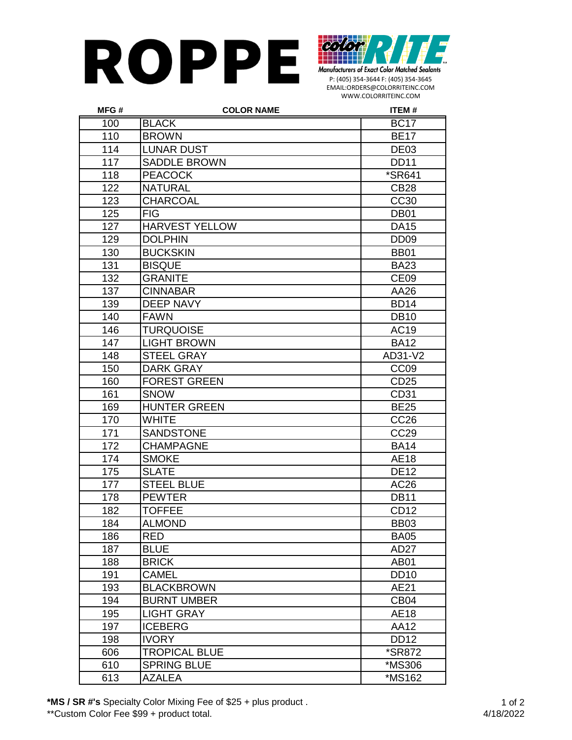## **ROPPE**



P: (405) 354-3644 F: (405) 354-3645 EMAIL:ORDERS@COLORRITEINC.COM WWW.COLORRITEINC.COM

| MFG# | <b>COLOR NAME</b>     | <b>ITEM#</b>         |
|------|-----------------------|----------------------|
| 100  | <b>BLACK</b>          | <b>BC17</b>          |
| 110  | <b>BROWN</b>          | <b>BE17</b>          |
| 114  | <b>LUNAR DUST</b>     | DE <sub>03</sub>     |
| 117  | <b>SADDLE BROWN</b>   | <b>DD11</b>          |
| 118  | <b>PEACOCK</b>        | <i><b>*SR641</b></i> |
| 122  | <b>NATURAL</b>        | <b>CB28</b>          |
| 123  | <b>CHARCOAL</b>       | <b>CC30</b>          |
| 125  | <b>FIG</b>            | <b>DB01</b>          |
| 127  | <b>HARVEST YELLOW</b> | <b>DA15</b>          |
| 129  | <b>DOLPHIN</b>        | DD <sub>09</sub>     |
| 130  | <b>BUCKSKIN</b>       | <b>BB01</b>          |
| 131  | <b>BISQUE</b>         | <b>BA23</b>          |
| 132  | <b>GRANITE</b>        | CE <sub>09</sub>     |
| 137  | <b>CINNABAR</b>       | AA26                 |
| 139  | <b>DEEP NAVY</b>      | <b>BD14</b>          |
| 140  | <b>FAWN</b>           | <b>DB10</b>          |
| 146  | <b>TURQUOISE</b>      | AC19                 |
| 147  | <b>LIGHT BROWN</b>    | <b>BA12</b>          |
| 148  | <b>STEEL GRAY</b>     | AD31-V2              |
| 150  | <b>DARK GRAY</b>      | CC <sub>09</sub>     |
| 160  | <b>FOREST GREEN</b>   | CD <sub>25</sub>     |
| 161  | <b>SNOW</b>           | CD31                 |
| 169  | <b>HUNTER GREEN</b>   | <b>BE25</b>          |
| 170  | <b>WHITE</b>          | CC <sub>26</sub>     |
| 171  | <b>SANDSTONE</b>      | <b>CC29</b>          |
| 172  | <b>CHAMPAGNE</b>      | <b>BA14</b>          |
| 174  | <b>SMOKE</b>          | AE18                 |
| 175  | <b>SLATE</b>          | <b>DE12</b>          |
| 177  | <b>STEEL BLUE</b>     | AC26                 |
| 178  | <b>PEWTER</b>         | <b>DB11</b>          |
| 182  | <b>TOFFEE</b>         | CD <sub>12</sub>     |
| 184  | <b>ALMOND</b>         | <b>BB03</b>          |
| 186  | <b>RED</b>            | <b>BA05</b>          |
| 187  | <b>BLUE</b>           | AD <sub>27</sub>     |
| 188  | <b>BRICK</b>          | <b>AB01</b>          |
| 191  | <b>CAMEL</b>          | <b>DD10</b>          |
| 193  | <b>BLACKBROWN</b>     | AE21                 |
| 194  | <b>BURNT UMBER</b>    | CB04                 |
| 195  | <b>LIGHT GRAY</b>     | AE18                 |
| 197  | <b>ICEBERG</b>        | AA12                 |
| 198  | <b>IVORY</b>          | <b>DD12</b>          |
| 606  | <b>TROPICAL BLUE</b>  | <i><b>*SR872</b></i> |
| 610  | <b>SPRING BLUE</b>    | *MS306               |
| 613  | <b>AZALEA</b>         | *MS162               |

**\*MS / SR #'s** Specialty Color Mixing Fee of \$25 + plus product .